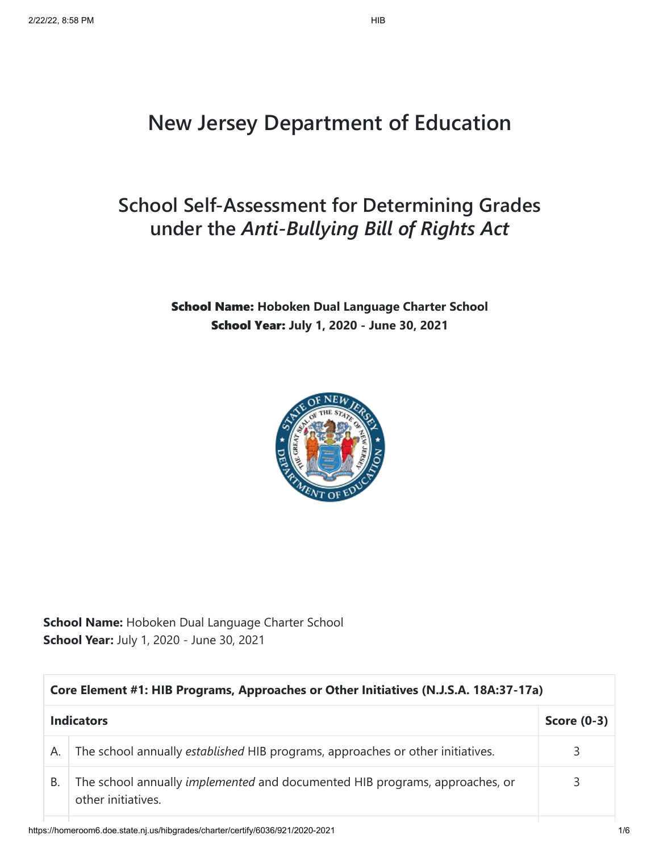# **New Jersey Department of Education**

## **School Self-Assessment for Determining Grades under the** *Anti-Bullying Bill of Rights Act*

#### School Name: **Hoboken Dual Language Charter School** School Year: **July 1, 2020 - June 30, 2021**



|    | Core Element #1: HIB Programs, Approaches or Other Initiatives (N.J.S.A. 18A:37-17a)                     |   |  |
|----|----------------------------------------------------------------------------------------------------------|---|--|
|    | <b>Indicators</b><br>Score $(0-3)$                                                                       |   |  |
| А. | The school annually established HIB programs, approaches or other initiatives.                           | 3 |  |
| В. | The school annually <i>implemented</i> and documented HIB programs, approaches, or<br>other initiatives. | 3 |  |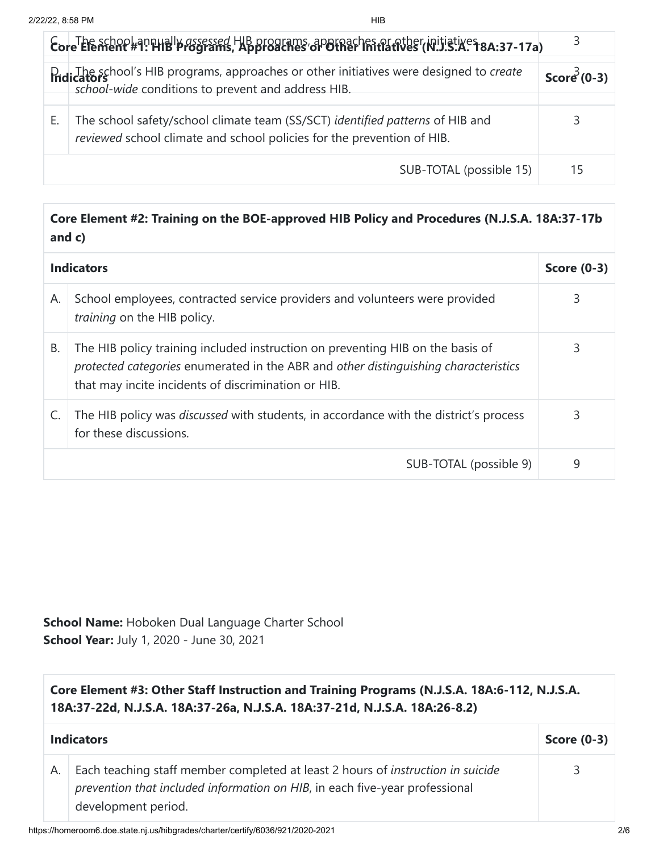| Eore Element #9: Hilly assessed HIB programs, approaches or other initiatives (8.137-17a)                                                               | 3             |
|---------------------------------------------------------------------------------------------------------------------------------------------------------|---------------|
| D. The school's HIB programs, approaches or other initiatives were designed to create<br>school-wide conditions to prevent and address HIB.             | Score $(0-3)$ |
| The school safety/school climate team (SS/SCT) identified patterns of HIB and<br>reviewed school climate and school policies for the prevention of HIB. | 3             |
| SUB-TOTAL (possible 15)                                                                                                                                 | 15            |

#### **Core Element #2: Training on the BOE-approved HIB Policy and Procedures (N.J.S.A. 18A:37-17b and c)**

|    | <b>Indicators</b>                                                                                                                                                                                                            | <b>Score (0-3)</b> |
|----|------------------------------------------------------------------------------------------------------------------------------------------------------------------------------------------------------------------------------|--------------------|
| А. | School employees, contracted service providers and volunteers were provided<br>training on the HIB policy.                                                                                                                   | 3                  |
| В. | The HIB policy training included instruction on preventing HIB on the basis of<br>protected categories enumerated in the ABR and other distinguishing characteristics<br>that may incite incidents of discrimination or HIB. | 3                  |
|    | The HIB policy was <i>discussed</i> with students, in accordance with the district's process<br>for these discussions.                                                                                                       | 3                  |
|    | SUB-TOTAL (possible 9)                                                                                                                                                                                                       | 9                  |

| Core Element #3: Other Staff Instruction and Training Programs (N.J.S.A. 18A:6-112, N.J.S.A.<br>18A:37-22d, N.J.S.A. 18A:37-26a, N.J.S.A. 18A:37-21d, N.J.S.A. 18A:26-8.2) |                                                                                                                                                                                              |               |
|----------------------------------------------------------------------------------------------------------------------------------------------------------------------------|----------------------------------------------------------------------------------------------------------------------------------------------------------------------------------------------|---------------|
| <b>Indicators</b>                                                                                                                                                          |                                                                                                                                                                                              | Score $(0-3)$ |
| А.                                                                                                                                                                         | Each teaching staff member completed at least 2 hours of <i>instruction in suicide</i><br>prevention that included information on HIB, in each five-year professional<br>development period. | 3             |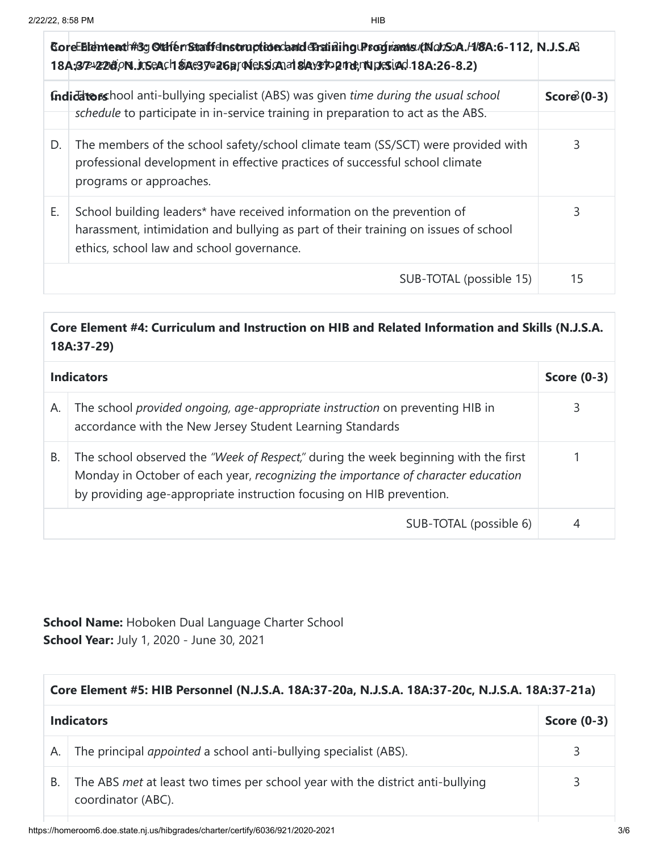|    | CoreEBIdmeath#3gGtdfenStraffdnstruptionclaridePratininguProduantsutNobSoA.H/8A:6-112, N.J.S.A<br>18A;37P-V22dtion1.Jr.SeAch \$iAe3ye26ar ode5s.caad \$laysto2ndendpresiad 18A:26-8.2)                       |              |
|----|-------------------------------------------------------------------------------------------------------------------------------------------------------------------------------------------------------------|--------------|
|    | Indidatorshool anti-bullying specialist (ABS) was given time during the usual school<br>schedule to participate in in-service training in preparation to act as the ABS.                                    | $Score(0-3)$ |
| D. | The members of the school safety/school climate team (SS/SCT) were provided with<br>professional development in effective practices of successful school climate<br>programs or approaches.                 | 3            |
| Ε. | School building leaders* have received information on the prevention of<br>harassment, intimidation and bullying as part of their training on issues of school<br>ethics, school law and school governance. | 3            |
|    | SUB-TOTAL (possible 15)                                                                                                                                                                                     | 15           |

### **Core Element #4: Curriculum and Instruction on HIB and Related Information and Skills (N.J.S.A. 18A:37-29)**

|    | <b>Indicators</b>                                                                                                                                                                                                                                | Score $(0-3)$ |
|----|--------------------------------------------------------------------------------------------------------------------------------------------------------------------------------------------------------------------------------------------------|---------------|
| А. | The school provided ongoing, age-appropriate instruction on preventing HIB in<br>accordance with the New Jersey Student Learning Standards                                                                                                       |               |
| В. | The school observed the "Week of Respect," during the week beginning with the first<br>Monday in October of each year, recognizing the importance of character education<br>by providing age-appropriate instruction focusing on HIB prevention. |               |
|    | SUB-TOTAL (possible 6)                                                                                                                                                                                                                           |               |

|                   | Core Element #5: HIB Personnel (N.J.S.A. 18A:37-20a, N.J.S.A. 18A:37-20c, N.J.S.A. 18A:37-21a)       |                    |  |
|-------------------|------------------------------------------------------------------------------------------------------|--------------------|--|
| <b>Indicators</b> |                                                                                                      | <b>Score (0-3)</b> |  |
| А.                | The principal <i>appointed</i> a school anti-bullying specialist (ABS).                              | 3                  |  |
| В.                | The ABS met at least two times per school year with the district anti-bullying<br>coordinator (ABC). | 3                  |  |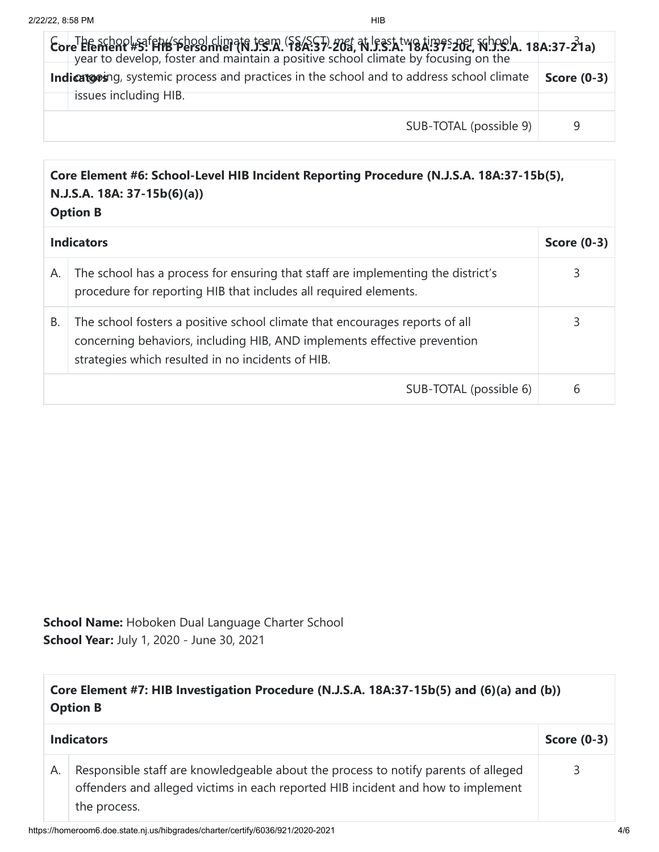| $\mathcal{E}_{\text{over}}$ The school safety school climate team (SS/SCT) met at least two times her School.<br>year to develop, foster and maintain a positive school climate by focusing on the |                    |
|----------------------------------------------------------------------------------------------------------------------------------------------------------------------------------------------------|--------------------|
| Indicatoring, systemic process and practices in the school and to address school climate                                                                                                           | <b>Score (0-3)</b> |
| issues including HIB.                                                                                                                                                                              |                    |
| SUB-TOTAL (possible 9)                                                                                                                                                                             | 9                  |

#### **Core Element #6: School-Level HIB Incident Reporting Procedure (N.J.S.A. 18A:37-15b(5), N.J.S.A. 18A: 37-15b(6)(a)) Option B**

|    | <b>Indicators</b>                                                                                                                                                                                            | <b>Score (0-3)</b> |
|----|--------------------------------------------------------------------------------------------------------------------------------------------------------------------------------------------------------------|--------------------|
| А. | The school has a process for ensuring that staff are implementing the district's<br>procedure for reporting HIB that includes all required elements.                                                         | 3                  |
| В. | The school fosters a positive school climate that encourages reports of all<br>concerning behaviors, including HIB, AND implements effective prevention<br>strategies which resulted in no incidents of HIB. | 3                  |
|    | SUB-TOTAL (possible 6)                                                                                                                                                                                       | 6                  |

| Core Element #7: HIB Investigation Procedure (N.J.S.A. 18A:37-15b(5) and (6)(a) and (b))<br><b>Option B</b> |                                                                                                                                                                                        |               |
|-------------------------------------------------------------------------------------------------------------|----------------------------------------------------------------------------------------------------------------------------------------------------------------------------------------|---------------|
| <b>Indicators</b>                                                                                           |                                                                                                                                                                                        | Score $(0-3)$ |
| А.                                                                                                          | Responsible staff are knowledgeable about the process to notify parents of alleged<br>offenders and alleged victims in each reported HIB incident and how to implement<br>the process. | 3             |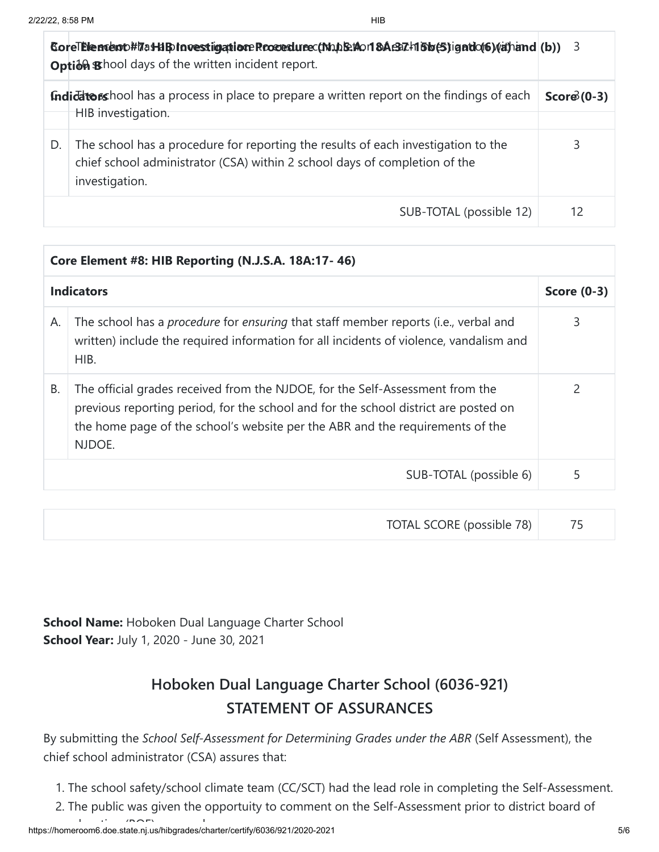|    | CoreThencent#7a+HBtnoestigationeRcocedurec(NubEtion 8Ae37.html 6b(5)igntlo(6)(a)hand (b)) 3<br>Option Bhool days of the written incident report.                                  |              |
|----|-----------------------------------------------------------------------------------------------------------------------------------------------------------------------------------|--------------|
|    | <b>Indidators</b> hool has a process in place to prepare a written report on the findings of each<br>HIB investigation.                                                           | $Score(0-3)$ |
|    |                                                                                                                                                                                   |              |
| D. | The school has a procedure for reporting the results of each investigation to the<br>chief school administrator (CSA) within 2 school days of completion of the<br>investigation. | 3            |
|    | SUB-TOTAL (possible 12)                                                                                                                                                           | 12           |

|    | Core Element #8: HIB Reporting (N.J.S.A. 18A:17-46)                                                                                                                                                                                                             |   |  |
|----|-----------------------------------------------------------------------------------------------------------------------------------------------------------------------------------------------------------------------------------------------------------------|---|--|
|    | <b>Indicators</b>                                                                                                                                                                                                                                               |   |  |
| А. | The school has a procedure for ensuring that staff member reports (i.e., verbal and<br>written) include the required information for all incidents of violence, vandalism and<br>HIB.                                                                           | 3 |  |
| В. | The official grades received from the NJDOE, for the Self-Assessment from the<br>previous reporting period, for the school and for the school district are posted on<br>the home page of the school's website per the ABR and the requirements of the<br>NJDOE. | 2 |  |
|    | SUB-TOTAL (possible 6)                                                                                                                                                                                                                                          | 5 |  |

| TOTAL SCORE (possible 78) |  |  |
|---------------------------|--|--|
|---------------------------|--|--|

**School Name:** Hoboken Dual Language Charter School **School Year:** July 1, 2020 - June 30, 2021

### **Hoboken Dual Language Charter School (6036-921) STATEMENT OF ASSURANCES**

By submitting the *School Self-Assessment for Determining Grades under the ABR* (Self Assessment), the chief school administrator (CSA) assures that:

- 1. The school safety/school climate team (CC/SCT) had the lead role in completing the Self-Assessment.
- 2. The public was given the opportuity to comment on the Self-Assessment prior to district board of